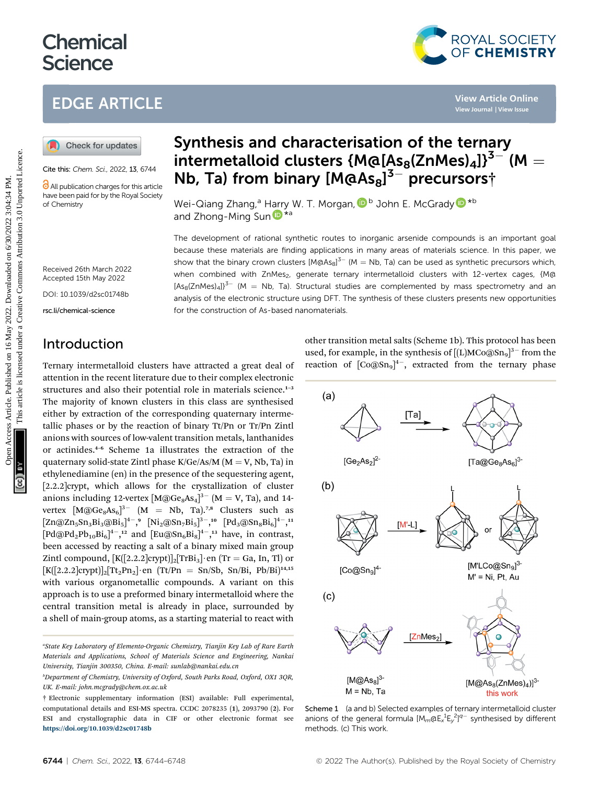# **Chemical Science**

# EDGE ARTICLE

Cite this: Chem. Sci., 2022, 13, 6744

**C** All publication charges for this article have been paid for by the Royal Society of Chemistry

# Synthesis and characterisation of the ternary intermetalloid clusters {M@[As<sub>8</sub>(ZnMes)<sub>4</sub>]}<sup>3-</sup> (M =  $\frac{1}{100}$  Mb, Ta) from binary  $\frac{1}{100}$   $\frac{1}{20}$   $\frac{1}{30}$  precursors $\frac{1}{10}$

Wei-Qiang Zhang[,](http://orcid.org/0000-0001-9647-8807)<sup>a</sup> Harry W. T. Morgan, D<sup>b</sup> John E. McGrady D<sup>\*b</sup> a[n](http://orcid.org/0000-0003-2894-6327)d Zhong-Ming Sun

The development of rational synthetic routes to inorganic arsenide compounds is an important goal because these materials are finding applications in many areas of materials science. In this paper, we show that the binary crown clusters  $[MaAs<sub>8</sub>]<sup>3–</sup> (M = Nb, Ta)$  can be used as synthetic precursors which, when combined with ZnMes<sub>2</sub>, generate ternary intermetalloid clusters with 12-vertex cages, {M@  $[As<sub>8</sub>(ZnMes)<sub>4</sub>]<sup>3</sup>$  (M = Nb, Ta). Structural studies are complemented by mass spectrometry and an analysis of the electronic structure using DFT. The synthesis of these clusters presents new opportunities for the construction of As-based nanomaterials. **EDGE ARTICLE**<br> **(a)** Check for underse as by **intermetalloid clusters {Ma**[As<sub>8</sub>**(ZnMes)**<sub>4</sub>]<sup>35</sup> (M<br>
Contex for undersection and the state of the state of the state of the state of the state of the state of the state

Received 26th March 2022 Accepted 15th May 2022

DOI: 10.1039/d2sc01748b

rsc.li/chemical-science

# Introduction

Ternary intermetalloid clusters have attracted a great deal of attention in the recent literature due to their complex electronic structures and also their potential role in materials science.<sup>1-3</sup> The majority of known clusters in this class are synthesised either by extraction of the corresponding quaternary intermetallic phases or by the reaction of binary Tt/Pn or Tr/Pn Zintl anions with sources of low-valent transition metals, lanthanides or actinides.<sup>4</sup>–<sup>6</sup> Scheme 1a illustrates the extraction of the quaternary solid-state Zintl phase  $K/Ge/As/M$  (M = V, Nb, Ta) in ethylenediamine (en) in the presence of the sequestering agent, [2.2.2]crypt, which allows for the crystallization of cluster anions including 12-vertex  $[M@Ge_8As_4]^{3-}$   $(M = V, Ta)$ , and 14vertex  $[M@Ge_8As_6]^3$ <sup>-</sup>  $(M = Nb, Ta)$ .<sup>7,8</sup> Clusters such as  $\left[\text{Zn@Zn}_5\text{Sn}_3\text{Bi}_3\text{@Bi}_5\right]^{4-}\text{,}^9\ \left[\text{Ni}_2\text{@Sn}_7\text{Bi}_5\right]^{3-}\text{,}^{10}\ \left[\text{Pd}_3\text{@Sn}_8\text{Bi}_6\right]^{4-}\text{,}^{11}$  $[\text{Pd@Pd}_2\text{Pb}_{10}\text{Bi}_6]^4$ <sup>-</sup>,<sup>12</sup> and  $[\text{Eu@Sn}_6\text{Bi}_8]^4$ <sup>-</sup>,<sup>13</sup> have, in contrast, been accessed by reacting a salt of a binary mixed main group Zintl compound,  $[K([2.2.2]crypt)]_2[TrBi_3]$  en (Tr = Ga, In, Tl) or  $[K([2.2.2]crypt)]_2[Tt_2Pn_2]$  en  $(Tt/Ph = Sn/Sh, Sn/Bi, Pb/Bi)^{14,15}$ with various organometallic compounds. A variant on this approach is to use a preformed binary intermetalloid where the central transition metal is already in place, surrounded by a shell of main-group atoms, as a starting material to react with

other transition metal salts (Scheme 1b). This protocol has been used, for example, in the synthesis of  $[(L)MCo@Sn<sub>9</sub>]<sup>3–</sup>$  from the reaction of  $[Co@Sn_{9}]^{4-}$ , extracted from the ternary phase

ROYAL SOCIETY OF CHEMISTRY



Scheme 1 (a and b) Selected examples of ternary intermetalloid cluster anions of the general formula  $[M_m@E_x^1E_y^2]^{q-}$  synthesised by different methods. (c) This work.

<sup>&</sup>quot;State Key Laboratory of Elemento-Organic Chemistry, Tianjin Key Lab of Rare Earth Materials and Applications, School of Materials Science and Engineering, Nankai University, Tianjin 300350, China. E-mail: sunlab@nankai.edu.cn

b Department of Chemistry, University of Oxford, South Parks Road, Oxford, OX1 3QR, UK. E-mail: john.mcgrady@chem.ox.ac.uk

<sup>†</sup> Electronic supplementary information (ESI) available: Full experimental, computational details and ESI-MS spectra. CCDC 2078235 (1), 2093790 (2). For ESI and crystallographic data in CIF or other electronic format see <https://doi.org/10.1039/d2sc01748b>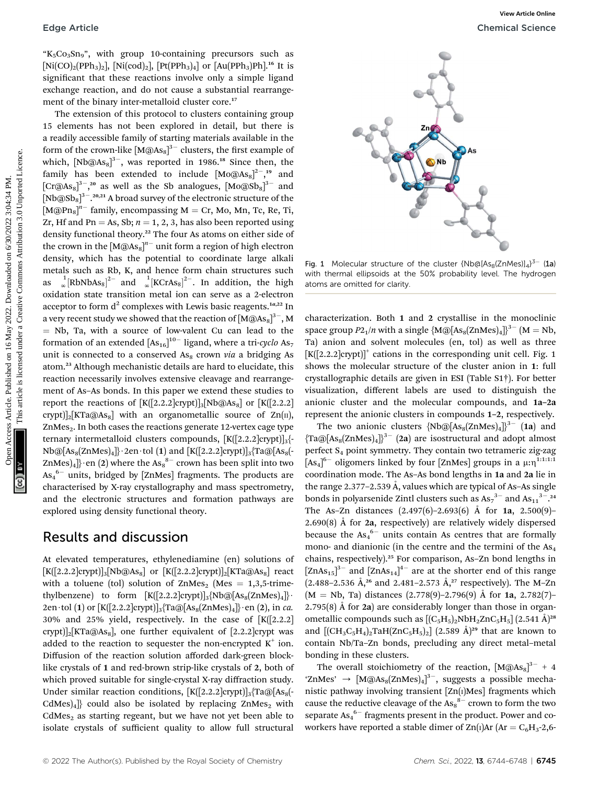"K5Co3Sn9", with group 10-containing precursors such as  $[Ni(CO)<sub>2</sub>(PPh<sub>3</sub>)<sub>2</sub>]$ ,  $[Ni(cod)<sub>2</sub>]$ ,  $[Pt(PPh<sub>3</sub>)<sub>4</sub>]$  or  $[Au(PPh<sub>3</sub>)Ph]<sup>16</sup>$  It is significant that these reactions involve only a simple ligand exchange reaction, and do not cause a substantial rearrangement of the binary inter-metalloid cluster core.<sup>17</sup>

The extension of this protocol to clusters containing group 15 elements has not been explored in detail, but there is a readily accessible family of starting materials available in the form of the crown-like  ${\rm [M@As_{8}]}^{3-}$  clusters, the first example of which,  $[Nb@As_{8}]^{3-}$ , was reported in 1986.<sup>18</sup> Since then, the family has been extended to include  $\left[{\rm Mo@As}_8\right]^{2-},^{19}$  and [Cr@As<sub>8</sub>]<sup>3-</sup>,<sup>20</sup> as well as the Sb analogues, [Mo@Sb<sub>8</sub>]<sup>3-</sup> and  $[\text{Nb@Sb}_{8}]^{3-.20,21}$  A broad survey of the electronic structure of the  $[M@Pn_8]^{n-}$  family, encompassing  $M = Cr$ , Mo, Mn, Tc, Re, Ti, Zr, Hf and Pn = As, Sb;  $n = 1, 2, 3$ , has also been reported using density functional theory.<sup>22</sup> The four As atoms on either side of the crown in the  $\left[\text{M@As}_{8}\right]^{n-}$  unit form a region of high electron density, which has the potential to coordinate large alkali metals such as Rb, K, and hence form chain structures such as  $\int_{\infty}^{1}$ [RbNbAs<sub>8</sub>]<sup>2-</sup> and  $\int_{\infty}^{1}$ [KCrAs<sub>8</sub>]<sup>2-</sup>. In addition, the high oxidation state transition metal ion can serve as a 2-electron acceptor to form  $d^2$  complexes with Lewis basic reagents.<sup>1a,22</sup> In a very recent study we showed that the reaction of  ${\rm [M@As_{8}]^{3-}}$  , M  $=$  Nb, Ta, with a source of low-valent Cu can lead to the formation of an extended  ${\rm [As_{16}]}^{10-}$  ligand, where a tri-cyclo As<sub>7</sub> unit is connected to a conserved  $As_8$  crown via a bridging As atom.<sup>23</sup> Although mechanistic details are hard to elucidate, this reaction necessarily involves extensive cleavage and rearrangement of As–As bonds. In this paper we extend these studies to report the reactions of  $[K([2.2.2]crypt)]_3[Nb@As_8]$  or  $[K([2.2.2]crypt]]_3[Nb@As_8]$  $\exp(t)$ <sub>2</sub>[KTa@As<sub>8</sub>] with an organometallic source of Zn( $\pi$ ), ZnMes<sub>2</sub>. In both cases the reactions generate 12-vertex cage type ternary intermetalloid clusters compounds,  $[K([2.2.2]crypt)]_{3}$  $Nb@[As_8(ZnMes)_4]\cdot 2en \cdot tol$  (1) and  $[K([2.2.2]crypt)]_3$ {Ta@[As<sub>8</sub>(-ZnMes) $_4] \}$  en (2) where the As $_8^{8-}$  crown has been split into two  $\mathrm{As_{4}}^{6-}$  units, bridged by [ZnMes] fragments. The products are characterised by X-ray crystallography and mass spectrometry, and the electronic structures and formation pathways are explored using density functional theory. Edge Article<br>  $\mathcal{R}_2$ Cess Article (2003). [Published process Article is limited to the intermediate control in the mass are the article in the set of the component of the base of the set of the component of the base of

#### Results and discussion

At elevated temperatures, ethylenediamine (en) solutions of  $[K([2.2.2]crypt)]_3[Nb@As_8]$  or  $[K([2.2.2]crypt)]_2[KTa@As_8]$  react with a toluene (tol) solution of  $ZnMes<sub>2</sub>$  (Mes = 1,3,5-trimethylbenzene) to form  $[K([2.2.2]crypt)]_3[Nb@[As_8(ZnMes)_4]]$ . 2en · tol (1) or  $[K([2.2.2]crypt)]_3$ {Ta@[As<sub>8</sub>(ZnMes)<sub>4</sub>]} · en (2), in *ca.* 30% and 25% yield, respectively. In the case of  $K([2.2.2])$ crypt)]<sub>2</sub>[KTa@As<sub>8</sub>], one further equivalent of [2.2.2]crypt was added to the reaction to sequester the non-encrypted  $K^+$  ion. Diffusion of the reaction solution afforded dark-green blocklike crystals of 1 and red-brown strip-like crystals of 2, both of which proved suitable for single-crystal X-ray diffraction study. Under similar reaction conditions,  $[K([2.2.2]crypt)]_3$ {Ta@[As<sub>8</sub>(- $CdMes<sub>4</sub>$ } could also be isolated by replacing ZnMes<sub>2</sub> with  $CdMes<sub>2</sub>$  as starting regeant, but we have not yet been able to isolate crystals of sufficient quality to allow full structural



Fig. 1 Molecular structure of the cluster  $\{Nb@[As_8(ZnMes)]_4\}^{3-}$  (1a) with thermal ellipsoids at the 50% probability level. The hydrogen atoms are omitted for clarity.

characterization. Both 1 and 2 crystallise in the monoclinic space group  $P2_1/n$  with a single  ${M@[As_8(ZnMes)_4]}^{3-}$   $(M = Nb,$ Ta) anion and solvent molecules (en, tol) as well as three  $[K([2.2.2] \text{crypt})]^{+}$  cations in the corresponding unit cell. Fig. 1 shows the molecular structure of the cluster anion in 1: full crystallographic details are given in ESI (Table S1†). For better visualization, different labels are used to distinguish the anionic cluster and the molecular compounds, and 1a–2a represent the anionic clusters in compounds 1–2, respectively.

The two anionic clusters  $\{Nb@[As_8(ZnMes)_4]\}^{3-}$  (1a) and  ${Ta@[As_s(ZnMes)_4]\}^{3-}$  (2a) are isostructural and adopt almost perfect  $S_4$  point symmetry. They contain two tetrameric zig-zag  $[As<sub>4</sub>]<sup>6-</sup> oligomers linked by four [ZnMes] groups in a  $\mu:\eta^{1:1:1:1}$$ coordination mode. The As–As bond lengths in 1a and 2a lie in the range 2.377–2.539 Å, values which are typical of As–As single bonds in polyarsenide Zintl clusters such as  $As_7^3$ <sup>-</sup> and  $As_{11}^3$ <sup>-</sup>.<sup>24</sup> The As-Zn distances  $(2.497(6)-2.693(6)$  Å for **1a**,  $2.500(9)$ -2.690(8)  $\AA$  for 2a, respectively) are relatively widely dispersed because the  $As_4^6$  units contain As centres that are formally mono- and dianionic (in the centre and the termini of the  $As<sub>4</sub>$ chains, respectively).<sup>25</sup> For comparison, As–Zn bond lengths in  $\left[\text{ZnAs}_{15}\right]^{3-}$  and  $\left[\text{ZnAs}_{14}\right]^{4-}$  are at the shorter end of this range  $(2.488-2.536 \text{ Å}, ^{26} \text{ and } 2.481-2.573 \text{ Å}, ^{27} \text{ respectively}).$  The M-Zn  $(M = Nb, Ta)$  distances  $(2.778(9)-2.796(9)$  Å for **1a**,  $2.782(7)$ 2.795(8) Å for  $2a$ ) are considerably longer than those in organometallic compounds such as  $[(C_5H_5)_2NbH_2ZnC_5H_5](2.541 \text{ Å})^{28}$ and  $[(CH_3C_5H_4)_2TaH(ZnC_5H_5)_2]$  (2.589  $\AA$ )<sup>29</sup> that are known to contain Nb/Ta–Zn bonds, precluding any direct metal–metal bonding in these clusters.

The overall stoichiometry of the reaction,  $[M@As_{8}]^{3-} + 4$ 'ZnMes'  $\rightarrow$  [M@As<sub>8</sub>(ZnMes)<sub>4</sub>]<sup>3-</sup>, suggests a possible mechanistic pathway involving transient [Zn(I)Mes] fragments which cause the reductive cleavage of the  $\mathrm{As}^{8-}_8$  crown to form the two separate  $\mathrm{As_{4}}^{6-}$  fragments present in the product. Power and coworkers have reported a stable dimer of  $\text{Zn}(I)$ Ar (Ar = C<sub>6</sub>H<sub>3</sub>-2,6-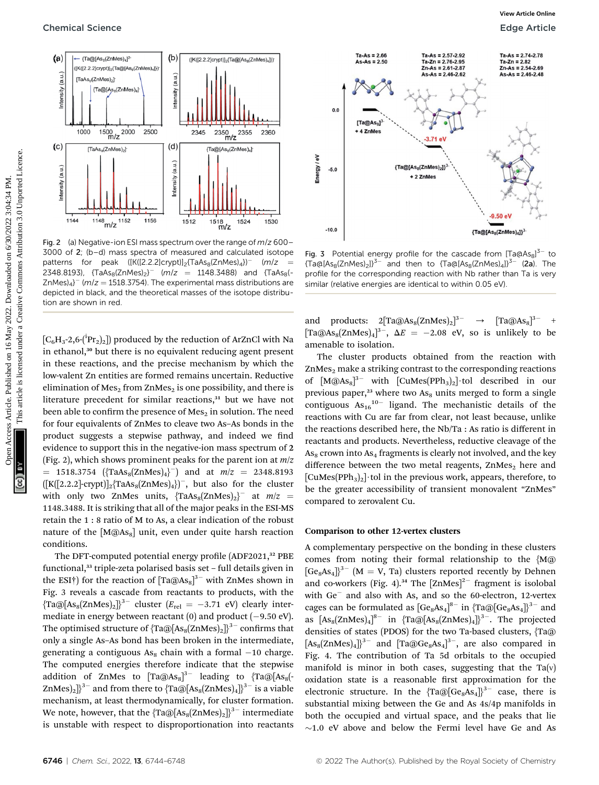

Fig. 2 (a) Negative-ion ESI mass spectrum over the range of  $m/z$  600– 3000 of 2; (b–d) mass spectra of measured and calculated isotope patterns for peak  $([K([2.2.2]crypt)]_2$ {TaAs<sub>8</sub>(ZnMes)<sub>4</sub>})<sup>-</sup> (m/z = 2348.8193),  $\{TaAs_8(ZnMes)_2\}$   $(m/z = 1148.3488)$  and  $\{TaAs_8(-z_4)$  $ZnMes)_{4}$ <sup>-</sup> ( $m/z = 1518.3754$ ). The experimental mass distributions are depicted in black, and the theoretical masses of the isotope distribution are shown in red.

 $\left[C_{6}\text{H}_{3}\text{-}2\text{,}6\text{-}{\left({\rm ^{i}Pr}_{2}\right)_{2}}\right]$  produced by the reduction of ArZnCl with Na in ethanol,<sup>30</sup> but there is no equivalent reducing agent present in these reactions, and the precise mechanism by which the low-valent Zn entities are formed remains uncertain. Reductive elimination of  $Mes_2$  from ZnMes<sub>2</sub> is one possibility, and there is literature precedent for similar reactions, $31$  but we have not been able to confirm the presence of  $Mes_2$  in solution. The need for four equivalents of ZnMes to cleave two As–As bonds in the product suggests a stepwise pathway, and indeed we find evidence to support this in the negative-ion mass spectrum of 2 (Fig. 2), which shows prominent peaks for the parent ion at  $m/z$  $= 1518.3754 \, (\text{TaAs}_8(\text{ZnMes})_4)^{-}$  and at  $m/z = 2348.8193$  $([K([2.2.2]-crypt)]_2$ {TaAs<sub>8</sub>(ZnMes)<sub>4</sub>})<sup>-</sup>, but also for the cluster with only two ZnMes units,  $\{ \text{TaAs}_8(\text{ZnMes})_2 \}^-$  at  $m/z =$ 1148.3488. It is striking that all of the major peaks in the ESI-MS retain the 1 : 8 ratio of M to As, a clear indication of the robust nature of the  $[M@As<sub>8</sub>]$  unit, even under quite harsh reaction conditions.

The DFT-computed potential energy profile (ADF2021,<sup>32</sup> PBE functional,<sup>33</sup> triple-zeta polarised basis set - full details given in the ESI†) for the reaction of  $\left[\text{Ta@As}_{8}\right]^{3-}$  with ZnMes shown in Fig. 3 reveals a cascade from reactants to products, with the  ${\arctan}$  {Ta@[As<sub>8</sub>(ZnMes)<sub>2</sub>]}<sup>3-</sup> cluster ( $E_{rel} = -3.71$  eV) clearly intermediate in energy between reactant  $(0)$  and product  $(-9.50 \text{ eV})$ . The optimised structure of  ${Ta@[As_s(ZnMes)_2]}^{3}$  confirms that only a single As–As bond has been broken in the intermediate, generating a contiguous  $As_8$  chain with a formal  $-10$  charge. The computed energies therefore indicate that the stepwise addition of ZnMes to  $\left[{\rm Ta@As}_8\right]^{3-}$  leading to  $\left\{{\rm Ta@}[{\rm As}_8(\cdot)]\right\}^{3-}$ ZnMes)<sub>2</sub>]<sup>3-</sup> and from there to  $\text{Ta@[As}_{8}(\text{ZnMes})_{4}$ ]<sup>3-</sup> is a viable mechanism, at least thermodynamically, for cluster formation. We note, however, that the  $\{Ta@[As_8(ZnMes)_2]\}^{3-}$  intermediate is unstable with respect to disproportionation into reactants





Fig. 3 Potential energy profile for the cascade from  $[Ta@As_{8}]^{3-}$  to  ${T a@[As_8(ZnMes)_2]}^{3-}$  and then to  ${T a@[As_8(Zn Mes)_4]}^{3-}$  (2a). The profile for the corresponding reaction with Nb rather than Ta is very similar (relative energies are identical to within 0.05 eV).

and products:  $2[Ta@As_8(ZnMes)_2]^{3-} \rightarrow [Ta@As_8]^{3-} +$ [Ta@As<sub>8</sub>(ZnMes)<sub>4</sub>]<sup>3-</sup>,  $\Delta E = -2.08$  eV, so is unlikely to be amenable to isolation.

The cluster products obtained from the reaction with  $ZnMes<sub>2</sub>$  make a striking contrast to the corresponding reactions of  $[M@As<sub>8</sub>]^{3-}$  with  $[CuMes(PPh<sub>3</sub>)<sub>2</sub>]$ ·tol described in our previous paper,<sup>23</sup> where two  $As_8$  units merged to form a single contiguous  $As_{16}^{10-}$  ligand. The mechanistic details of the reactions with Cu are far from clear, not least because, unlike the reactions described here, the Nb/Ta : As ratio is different in reactants and products. Nevertheless, reductive cleavage of the  $As_8$  crown into  $As_4$  fragments is clearly not involved, and the key difference between the two metal reagents,  $ZnMes<sub>2</sub>$  here and  $[CuMes(PPh<sub>3</sub>)<sub>2</sub>]$  tol in the previous work, appears, therefore, to be the greater accessibility of transient monovalent "ZnMes" compared to zerovalent Cu.

#### Comparison to other 12-vertex clusters

A complementary perspective on the bonding in these clusters comes from noting their formal relationship to the {M@  $[Ge_8As_4]$ <sup>3-</sup> (M = V, Ta) clusters reported recently by Dehnen and co-workers (Fig. 4).<sup>34</sup> The  $[ZnMes]^{2-}$  fragment is isolobal with  $Ge^-$  and also with As, and so the 60-electron, 12-vertex cages can be formulated as  $[Ge_8As_4]^{8-}$  in  $\{Ta@[Ge_8As_4]\}^{3-}$  and as  $[As_8(ZnMes)_4]^{8-}$  in  ${Ta@[As_8(Zn Mes)_4]}^{3-}$ . The projected densities of states (PDOS) for the two Ta-based clusters, {Ta@  $[As_8(ZnMes)_4]]^{3-}$  and  $[Ta@Ge_8As_4]^{3-}$ , are also compared in Fig. 4. The contribution of Ta 5d orbitals to the occupied manifold is minor in both cases, suggesting that the  $Ta(v)$ oxidation state is a reasonable first approximation for the electronic structure. In the  ${Ta@[Ge_8As_4]}^{3-}$  case, there is substantial mixing between the Ge and As 4s/4p manifolds in both the occupied and virtual space, and the peaks that lie  $\sim$ 1.0 eV above and below the Fermi level have Ge and As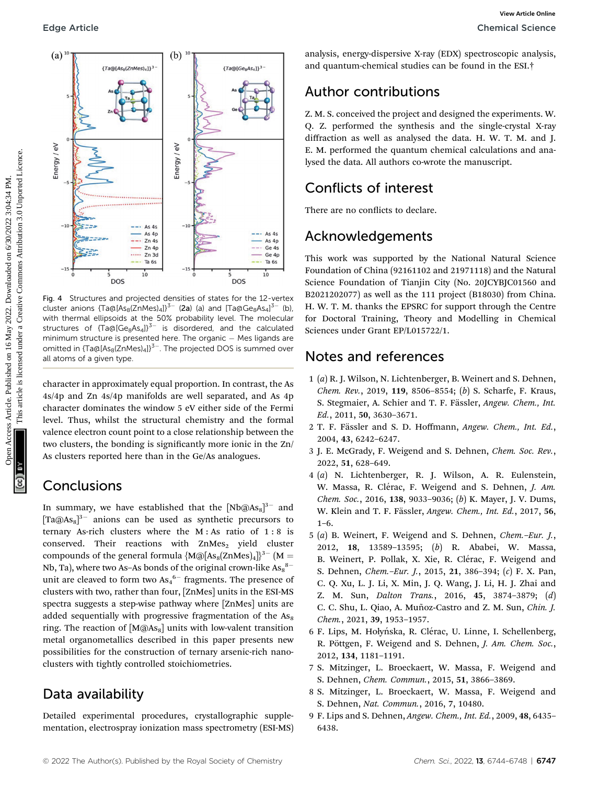

Fig. 4 Structures and projected densities of states for the 12-vertex cluster anions {Ta@[As<sub>8</sub>(ZnMes)<sub>4</sub>]}<sup>3–</sup> (2a) (a) and [Ta@Ge<sub>8</sub>As<sub>4</sub>]<sup>3–</sup> (b), with thermal ellipsoids at the 50% probability level. The molecular structures of  $\text{Ta@[Ge}_8\text{As}_4]$ <sup>3-</sup> is disordered, and the calculated minimum structure is presented here. The organic  $-$  Mes ligands are omitted in  $\{Ta@[As_8(ZnMes)_4]\}^{3-}$ . The projected DOS is summed over all atoms of a given type.

character in approximately equal proportion. In contrast, the As 4s/4p and Zn 4s/4p manifolds are well separated, and As 4p character dominates the window 5 eV either side of the Fermi level. Thus, whilst the structural chemistry and the formal valence electron count point to a close relationship between the two clusters, the bonding is significantly more ionic in the Zn/ As clusters reported here than in the Ge/As analogues.

### Conclusions

In summary, we have established that the  $[Nb@As_{8}]^{3-}$  and  $[Ta@As<sub>8</sub>]<sup>3-</sup>$  anions can be used as synthetic precursors to ternary As-rich clusters where the M : As ratio of 1 : 8 is conserved. Their reactions with  $ZnMes<sub>2</sub>$  yield cluster compounds of the general formula  ${M@[As_8(ZnMes)_4]}^{3-}$  (M = Nb, Ta), where two As–As bonds of the original crown-like As $_8^{\mathrm{8-}}$ unit are cleaved to form two  $\mathrm{As_{4}}^{6-}$  fragments. The presence of clusters with two, rather than four, [ZnMes] units in the ESI-MS spectra suggests a step-wise pathway where [ZnMes] units are added sequentially with progressive fragmentation of the  $As_8$ ring. The reaction of  $[M@As<sub>8</sub>]$  units with low-valent transition metal organometallics described in this paper presents new possibilities for the construction of ternary arsenic-rich nanoclusters with tightly controlled stoichiometries.

### Data availability

Detailed experimental procedures, crystallographic supplementation, electrospray ionization mass spectrometry (ESI-MS) analysis, energy-dispersive X-ray (EDX) spectroscopic analysis, and quantum-chemical studies can be found in the ESI.†

### Author contributions

Z. M. S. conceived the project and designed the experiments. W. Q. Z. performed the synthesis and the single-crystal X-ray diffraction as well as analysed the data. H. W. T. M. and J. E. M. performed the quantum chemical calculations and analysed the data. All authors co-wrote the manuscript.

# Conflicts of interest

There are no conflicts to declare.

# Acknowledgements

This work was supported by the National Natural Science Foundation of China (92161102 and 21971118) and the Natural Science Foundation of Tianjin City (No. 20JCYBJC01560 and B2021202077) as well as the 111 project (B18030) from China. H. W. T. M. thanks the EPSRC for support through the Centre for Doctoral Training, Theory and Modelling in Chemical Sciences under Grant EP/L015722/1.

### Notes and references

- 1 (a) R. J. Wilson, N. Lichtenberger, B. Weinert and S. Dehnen, Chem. Rev., 2019, 119, 8506–8554; (b) S. Scharfe, F. Kraus, S. Stegmaier, A. Schier and T. F. Fässler, Angew. Chem., Int. Ed., 2011, 50, 3630–3671.
- 2 T. F. Fässler and S. D. Hoffmann, Angew. Chem., Int. Ed., 2004, 43, 6242–6247.
- 3 J. E. McGrady, F. Weigend and S. Dehnen, Chem. Soc. Rev., 2022, 51, 628–649.
- 4 (a) N. Lichtenberger, R. J. Wilson, A. R. Eulenstein, W. Massa, R. Clérac, F. Weigend and S. Dehnen, J. Am. Chem. Soc., 2016, 138, 9033–9036; (b) K. Mayer, J. V. Dums, W. Klein and T. F. Fässler, Angew. Chem., Int. Ed., 2017, 56,  $1 - 6$ .
- 5 (a) B. Weinert, F. Weigend and S. Dehnen, Chem.–Eur. J., 2012, 18, 13589–13595; (b) R. Ababei, W. Massa, B. Weinert, P. Pollak, X. Xie, R. Clérac, F. Weigend and S. Dehnen, Chem.–Eur. J., 2015, 21, 386–394; (c) F. X. Pan, C. Q. Xu, L. J. Li, X. Min, J. Q. Wang, J. Li, H. J. Zhai and Z. M. Sun, Dalton Trans., 2016, 45, 3874–3879; (d) C. C. Shu, L. Qiao, A. Muñoz-Castro and Z. M. Sun, Chin. J. Chem., 2021, 39, 1953–1957.
- 6 F. Lips, M. Hołyńska, R. Clérac, U. Linne, I. Schellenberg, R. Pöttgen, F. Weigend and S. Dehnen, J. Am. Chem. Soc., 2012, 134, 1181–1191.
- 7 S. Mitzinger, L. Broeckaert, W. Massa, F. Weigend and S. Dehnen, Chem. Commun., 2015, 51, 3866–3869.
- 8 S. Mitzinger, L. Broeckaert, W. Massa, F. Weigend and S. Dehnen, Nat. Commun., 2016, 7, 10480.
- 9 F. Lips and S. Dehnen, Angew. Chem., Int. Ed., 2009, 48, 6435– 6438.